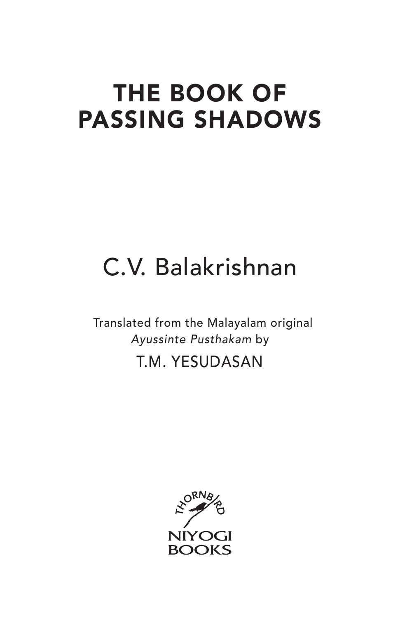## the book of passing shadows

# C.V. Balakrishnan

Translated from the Malayalam original *Ayussinte Pusthakam* by

#### T.M. Yesudasan

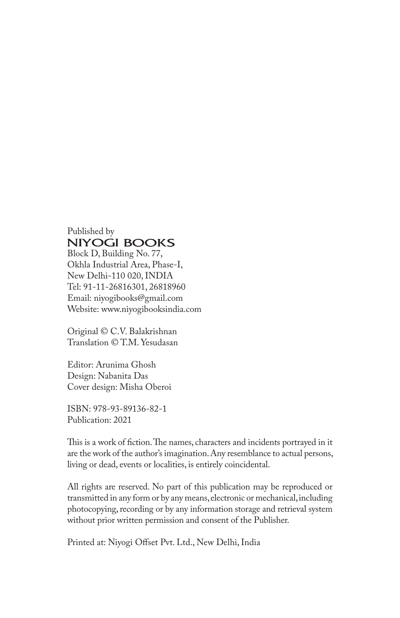Published by<br>NIYOGI BOOKS Block D, Building No. 77,

Okhla Industrial Area, Phase-I, New Delhi-110 020, INDIA Tel: 91-11-26816301, 26818960 Email: niyogibooks@gmail.com Website: www.niyogibooksindia.com

Original © C.V. Balakrishnan Translation © T.M. Yesudasan

Editor: Arunima Ghosh Design: Nabanita Das Cover design: Misha Oberoi

ISBN: 978-93-89136-82-1 Publication: 2021

This is a work of fiction. The names, characters and incidents portrayed in it are the work of the author's imagination. Any resemblance to actual persons, living or dead, events or localities, is entirely coincidental.

All rights are reserved. No part of this publication may be reproduced or transmitted in any form or by any means, electronic or mechanical, including photocopying, recording or by any information storage and retrieval system without prior written permission and consent of the Publisher.

Printed at: Niyogi Offset Pvt. Ltd., New Delhi, India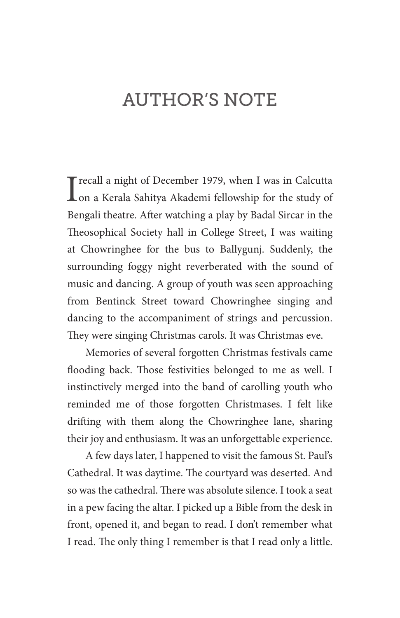### **AUTHOR'S NOTE**

In the study of December 1979, when I was in Calcutta<br>
Ion a Kerala Sahitya Akademi fellowship for the study of Trecall a night of December 1979, when I was in Calcutta Bengali theatre. After watching a play by Badal Sircar in the Theosophical Society hall in College Street, I was waiting at Chowringhee for the bus to Ballygunj. Suddenly, the surrounding foggy night reverberated with the sound of music and dancing. A group of youth was seen approaching from Bentinck Street toward Chowringhee singing and dancing to the accompaniment of strings and percussion. They were singing Christmas carols. It was Christmas eve.

Memories of several forgotten Christmas festivals came flooding back. Those festivities belonged to me as well. I instinctively merged into the band of carolling youth who reminded me of those forgotten Christmases. I felt like drifting with them along the Chowringhee lane, sharing their joy and enthusiasm. It was an unforgettable experience.

A few days later, I happened to visit the famous St. Paul's Cathedral. It was daytime. The courtyard was deserted. And so was the cathedral. There was absolute silence. I took a seat in a pew facing the altar. I picked up a Bible from the desk in front, opened it, and began to read. I don't remember what I read. The only thing I remember is that I read only a little.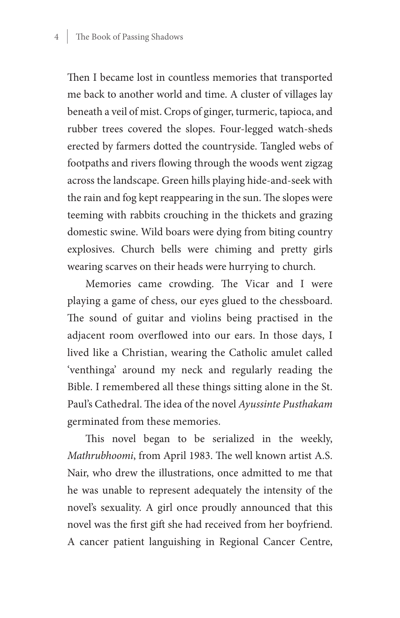Then I became lost in countless memories that transported me back to another world and time. A cluster of villages lay beneath a veil of mist. Crops of ginger, turmeric, tapioca, and rubber trees covered the slopes. Four-legged watch-sheds erected by farmers dotted the countryside. Tangled webs of footpaths and rivers flowing through the woods went zigzag across the landscape. Green hills playing hide-and-seek with the rain and fog kept reappearing in the sun. The slopes were teeming with rabbits crouching in the thickets and grazing domestic swine. Wild boars were dying from biting country explosives. Church bells were chiming and pretty girls wearing scarves on their heads were hurrying to church.

Memories came crowding. The Vicar and I were playing a game of chess, our eyes glued to the chessboard. The sound of guitar and violins being practised in the adjacent room overflowed into our ears. In those days, I lived like a Christian, wearing the Catholic amulet called 'venthinga' around my neck and regularly reading the Bible. I remembered all these things sitting alone in the St. Paul's Cathedral. The idea of the novel *Ayussinte Pusthakam* germinated from these memories.

This novel began to be serialized in the weekly, *Mathrubhoomi*, from April 1983. The well known artist A.S. Nair, who drew the illustrations, once admitted to me that he was unable to represent adequately the intensity of the novel's sexuality. A girl once proudly announced that this novel was the first gift she had received from her boyfriend. A cancer patient languishing in Regional Cancer Centre,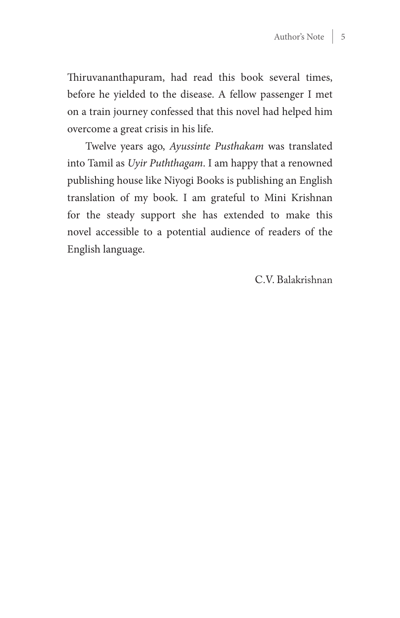Thiruvananthapuram, had read this book several times, before he yielded to the disease. A fellow passenger I met on a train journey confessed that this novel had helped him overcome a great crisis in his life.

Twelve years ago, *Ayussinte Pusthakam* was translated into Tamil as *Uyir Puththagam*. I am happy that a renowned publishing house like Niyogi Books is publishing an English translation of my book. I am grateful to Mini Krishnan for the steady support she has extended to make this novel accessible to a potential audience of readers of the English language.

C.V. Balakrishnan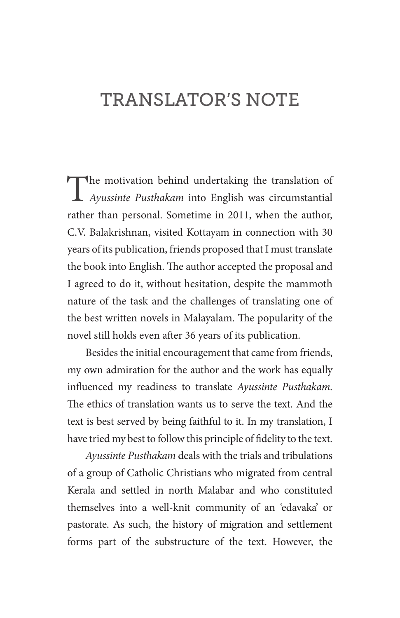### Translator's Note

The motivation behind undertaking the translation of *Ayussinte Pusthakam* into English was circumstantial rather than personal. Sometime in 2011, when the author, C.V. Balakrishnan, visited Kottayam in connection with 30 years of its publication, friends proposed that I must translate the book into English. The author accepted the proposal and I agreed to do it, without hesitation, despite the mammoth nature of the task and the challenges of translating one of the best written novels in Malayalam. The popularity of the novel still holds even after 36 years of its publication.

Besides the initial encouragement that came from friends, my own admiration for the author and the work has equally influenced my readiness to translate *Ayussinte Pusthakam*. The ethics of translation wants us to serve the text. And the text is best served by being faithful to it. In my translation, I have tried my best to follow this principle of fidelity to the text.

*Ayussinte Pusthakam* deals with the trials and tribulations of a group of Catholic Christians who migrated from central Kerala and settled in north Malabar and who constituted themselves into a well-knit community of an 'edavaka' or pastorate. As such, the history of migration and settlement forms part of the substructure of the text. However, the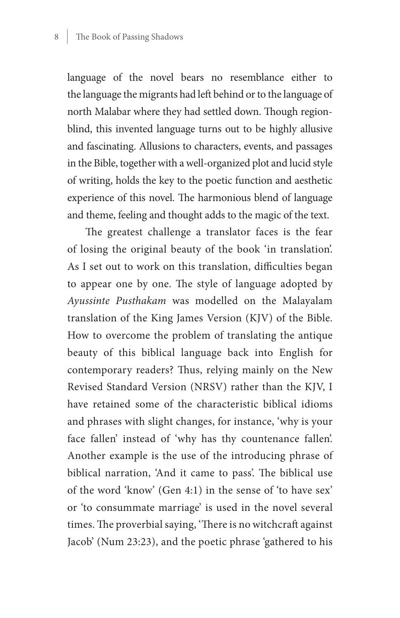language of the novel bears no resemblance either to the language the migrants had left behind or to the language of north Malabar where they had settled down. Though regionblind, this invented language turns out to be highly allusive and fascinating. Allusions to characters, events, and passages in the Bible, together with a well-organized plot and lucid style of writing, holds the key to the poetic function and aesthetic experience of this novel. The harmonious blend of language and theme, feeling and thought adds to the magic of the text.

The greatest challenge a translator faces is the fear of losing the original beauty of the book 'in translation'. As I set out to work on this translation, difficulties began to appear one by one. The style of language adopted by *Ayussinte Pusthakam* was modelled on the Malayalam translation of the King James Version (KJV) of the Bible. How to overcome the problem of translating the antique beauty of this biblical language back into English for contemporary readers? Thus, relying mainly on the New Revised Standard Version (NRSV) rather than the KJV, I have retained some of the characteristic biblical idioms and phrases with slight changes, for instance, 'why is your face fallen' instead of 'why has thy countenance fallen'. Another example is the use of the introducing phrase of biblical narration, 'And it came to pass'. The biblical use of the word 'know' (Gen 4:1) in the sense of 'to have sex' or 'to consummate marriage' is used in the novel several times. The proverbial saying, 'There is no witchcraft against Jacob' (Num 23:23), and the poetic phrase 'gathered to his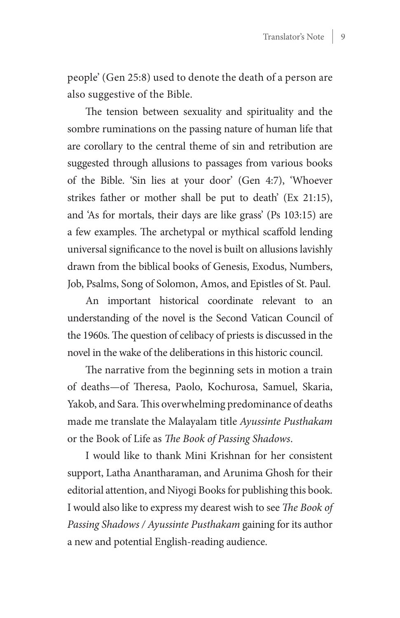people' (Gen 25:8) used to denote the death of a person are also suggestive of the Bible.

The tension between sexuality and spirituality and the sombre ruminations on the passing nature of human life that are corollary to the central theme of sin and retribution are suggested through allusions to passages from various books of the Bible. 'Sin lies at your door' (Gen 4:7), 'Whoever strikes father or mother shall be put to death' (Ex 21:15), and 'As for mortals, their days are like grass' (Ps 103:15) are a few examples. The archetypal or mythical scaffold lending universal significance to the novel is built on allusions lavishly drawn from the biblical books of Genesis, Exodus, Numbers, Job, Psalms, Song of Solomon, Amos, and Epistles of St. Paul.

An important historical coordinate relevant to an understanding of the novel is the Second Vatican Council of the 1960s. The question of celibacy of priests is discussed in the novel in the wake of the deliberations in this historic council.

The narrative from the beginning sets in motion a train of deaths—of Theresa, Paolo, Kochurosa, Samuel, Skaria, Yakob, and Sara. This overwhelming predominance of deaths made me translate the Malayalam title *Ayussinte Pusthakam* or the Book of Life as *The Book of Passing Shadows*.

I would like to thank Mini Krishnan for her consistent support, Latha Anantharaman, and Arunima Ghosh for their editorial attention, and Niyogi Books for publishing this book. I would also like to express my dearest wish to see *The Book of Passing Shadows / Ayussinte Pusthakam* gaining for its author a new and potential English-reading audience.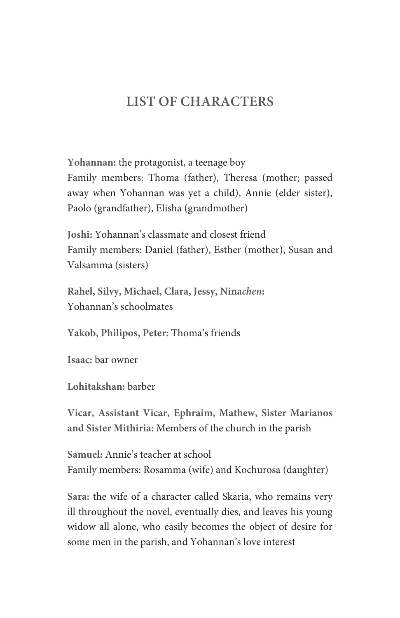#### **List of Characters**

**Yohannan:** the protagonist, a teenage boy Family members: Thoma (father), Theresa (mother; passed away when Yohannan was yet a child), Annie (elder sister), Paolo (grandfather), Elisha (grandmother)

**Joshi:** Yohannan's classmate and closest friend Family members: Daniel (father), Esther (mother), Susan and Valsamma (sisters)

**Rahel, Silvy, Michael, Clara, Jessy, Nina***chen***:** Yohannan's schoolmates

**Yakob, Philipos, Peter:** Thoma's friends

**Isaac:** bar owner

**Lohitakshan:** barber

**Vicar, Assistant Vicar, Ephraim, Mathew, Sister Marianos and Sister Mithiria:** Members of the church in the parish

**Samuel:** Annie's teacher at school Family members: Rosamma (wife) and Kochurosa (daughter)

**Sara:** the wife of a character called Skaria, who remains very ill throughout the novel, eventually dies, and leaves his young widow all alone, who easily becomes the object of desire for some men in the parish, and Yohannan's love interest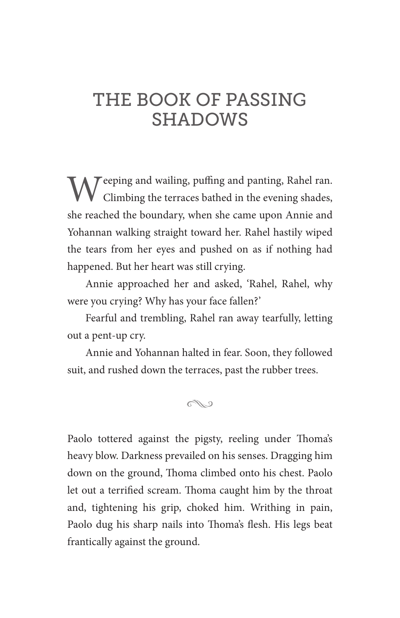#### The Book of Passing SHADOWS

 $M^{\text{eeping}}$  and wailing, puffing and panting, Rahel ran. Climbing the terraces bathed in the evening shades, she reached the boundary, when she came upon Annie and Yohannan walking straight toward her. Rahel hastily wiped the tears from her eyes and pushed on as if nothing had happened. But her heart was still crying.

Annie approached her and asked, 'Rahel, Rahel, why were you crying? Why has your face fallen?'

Fearful and trembling, Rahel ran away tearfully, letting out a pent-up cry.

Annie and Yohannan halted in fear. Soon, they followed suit, and rushed down the terraces, past the rubber trees.

N

Paolo tottered against the pigsty, reeling under Thoma's heavy blow. Darkness prevailed on his senses. Dragging him down on the ground, Thoma climbed onto his chest. Paolo let out a terrified scream. Thoma caught him by the throat and, tightening his grip, choked him. Writhing in pain, Paolo dug his sharp nails into Thoma's flesh. His legs beat frantically against the ground.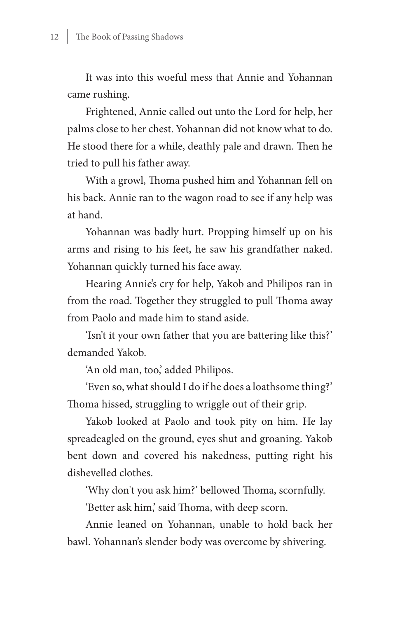It was into this woeful mess that Annie and Yohannan came rushing.

Frightened, Annie called out unto the Lord for help, her palms close to her chest. Yohannan did not know what to do. He stood there for a while, deathly pale and drawn. Then he tried to pull his father away.

With a growl, Thoma pushed him and Yohannan fell on his back. Annie ran to the wagon road to see if any help was at hand.

Yohannan was badly hurt. Propping himself up on his arms and rising to his feet, he saw his grandfather naked. Yohannan quickly turned his face away.

Hearing Annie's cry for help, Yakob and Philipos ran in from the road. Together they struggled to pull Thoma away from Paolo and made him to stand aside.

'Isn't it your own father that you are battering like this?' demanded Yakob.

'An old man, too,' added Philipos.

'Even so, what should I do if he does a loathsome thing?' Thoma hissed, struggling to wriggle out of their grip.

Yakob looked at Paolo and took pity on him. He lay spreadeagled on the ground, eyes shut and groaning. Yakob bent down and covered his nakedness, putting right his dishevelled clothes.

'Why don't you ask him?' bellowed Thoma, scornfully.

'Better ask him,' said Thoma, with deep scorn.

Annie leaned on Yohannan, unable to hold back her bawl. Yohannan's slender body was overcome by shivering.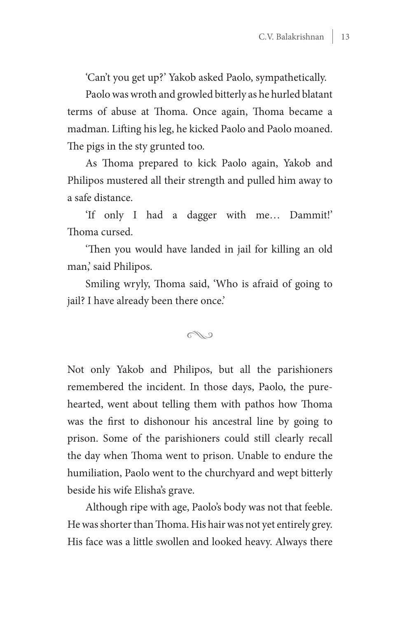'Can't you get up?' Yakob asked Paolo, sympathetically.

Paolo was wroth and growled bitterly as he hurled blatant terms of abuse at Thoma. Once again, Thoma became a madman. Lifting his leg, he kicked Paolo and Paolo moaned. The pigs in the sty grunted too.

As Thoma prepared to kick Paolo again, Yakob and Philipos mustered all their strength and pulled him away to a safe distance.

'If only I had a dagger with me… Dammit!' Thoma cursed.

'Then you would have landed in jail for killing an old man,' said Philipos.

Smiling wryly, Thoma said, 'Who is afraid of going to jail? I have already been there once.'

#### N

Not only Yakob and Philipos, but all the parishioners remembered the incident. In those days, Paolo, the purehearted, went about telling them with pathos how Thoma was the first to dishonour his ancestral line by going to prison. Some of the parishioners could still clearly recall the day when Thoma went to prison. Unable to endure the humiliation, Paolo went to the churchyard and wept bitterly beside his wife Elisha's grave.

Although ripe with age, Paolo's body was not that feeble. He was shorter than Thoma. His hair was not yet entirely grey. His face was a little swollen and looked heavy. Always there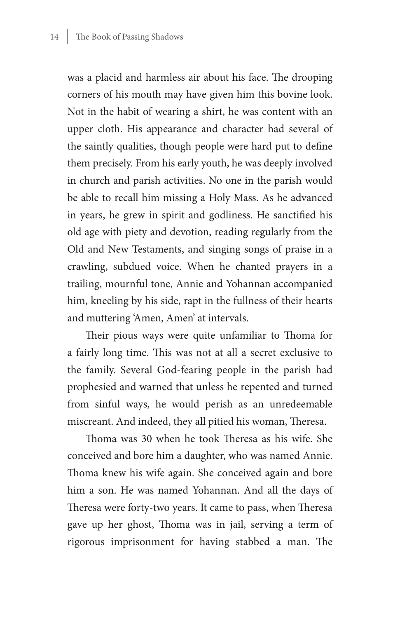was a placid and harmless air about his face. The drooping corners of his mouth may have given him this bovine look. Not in the habit of wearing a shirt, he was content with an upper cloth. His appearance and character had several of the saintly qualities, though people were hard put to define them precisely. From his early youth, he was deeply involved in church and parish activities. No one in the parish would be able to recall him missing a Holy Mass. As he advanced in years, he grew in spirit and godliness. He sanctified his old age with piety and devotion, reading regularly from the Old and New Testaments, and singing songs of praise in a crawling, subdued voice. When he chanted prayers in a trailing, mournful tone, Annie and Yohannan accompanied him, kneeling by his side, rapt in the fullness of their hearts and muttering 'Amen, Amen' at intervals.

Their pious ways were quite unfamiliar to Thoma for a fairly long time. This was not at all a secret exclusive to the family. Several God-fearing people in the parish had prophesied and warned that unless he repented and turned from sinful ways, he would perish as an unredeemable miscreant. And indeed, they all pitied his woman, Theresa.

Thoma was 30 when he took Theresa as his wife. She conceived and bore him a daughter, who was named Annie. Thoma knew his wife again. She conceived again and bore him a son. He was named Yohannan. And all the days of Theresa were forty-two years. It came to pass, when Theresa gave up her ghost, Thoma was in jail, serving a term of rigorous imprisonment for having stabbed a man. The